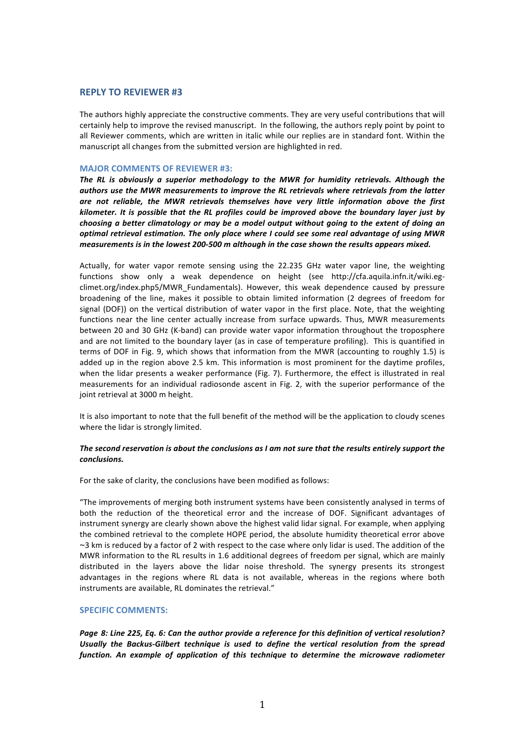# **REPLY TO REVIEWER #3**

The authors highly appreciate the constructive comments. They are very useful contributions that will certainly help to improve the revised manuscript. In the following, the authors reply point by point to all Reviewer comments, which are written in italic while our replies are in standard font. Within the manuscript all changes from the submitted version are highlighted in red.

### **MAJOR COMMENTS OF REVIEWER #3:**

The RL is obviously a superior methodology to the MWR for humidity retrievals. Although the authors use the MWR measurements to improve the RL retrievals where retrievals from the latter are not reliable, the MWR retrievals themselves have very little information above the first *kilometer.* It is possible that the RL profiles could be improved above the boundary layer just by *choosing a better climatology or may be a model output without going to the extent of doing an optimal retrieval estimation. The only place where I could see some real advantage of using MWR measurements is in the lowest 200-500 m although in the case shown the results appears mixed.* 

Actually, for water vapor remote sensing using the 22.235 GHz water vapor line, the weighting functions show only a weak dependence on height (see http://cfa.aquila.infn.it/wiki.egclimet.org/index.php5/MWR\_Fundamentals). However, this weak dependence caused by pressure broadening of the line, makes it possible to obtain limited information (2 degrees of freedom for signal (DOF)) on the vertical distribution of water vapor in the first place. Note, that the weighting functions near the line center actually increase from surface upwards. Thus, MWR measurements between 20 and 30 GHz (K-band) can provide water vapor information throughout the troposphere and are not limited to the boundary layer (as in case of temperature profiling). This is quantified in terms of DOF in Fig. 9, which shows that information from the MWR (accounting to roughly 1.5) is added up in the region above 2.5 km. This information is most prominent for the daytime profiles, when the lidar presents a weaker performance (Fig. 7). Furthermore, the effect is illustrated in real measurements for an individual radiosonde ascent in Fig. 2, with the superior performance of the joint retrieval at 3000 m height.

It is also important to note that the full benefit of the method will be the application to cloudy scenes where the lidar is strongly limited.

### The second reservation is about the conclusions as I am not sure that the results entirely support the *conclusions.*

For the sake of clarity, the conclusions have been modified as follows:

"The improvements of merging both instrument systems have been consistently analysed in terms of both the reduction of the theoretical error and the increase of DOF. Significant advantages of instrument synergy are clearly shown above the highest valid lidar signal. For example, when applying the combined retrieval to the complete HOPE period, the absolute humidity theoretical error above ∼3 km is reduced by a factor of 2 with respect to the case where only lidar is used. The addition of the MWR information to the RL results in 1.6 additional degrees of freedom per signal, which are mainly distributed in the layers above the lidar noise threshold. The synergy presents its strongest advantages in the regions where RL data is not available, whereas in the regions where both instruments are available, RL dominates the retrieval."

### **SPECIFIC COMMENTS:**

Page 8: Line 225, Eq. 6: Can the author provide a reference for this definition of vertical resolution? Usually the Backus-Gilbert technique is used to define the vertical resolution from the spread *function.* An example of application of this technique to determine the microwave radiometer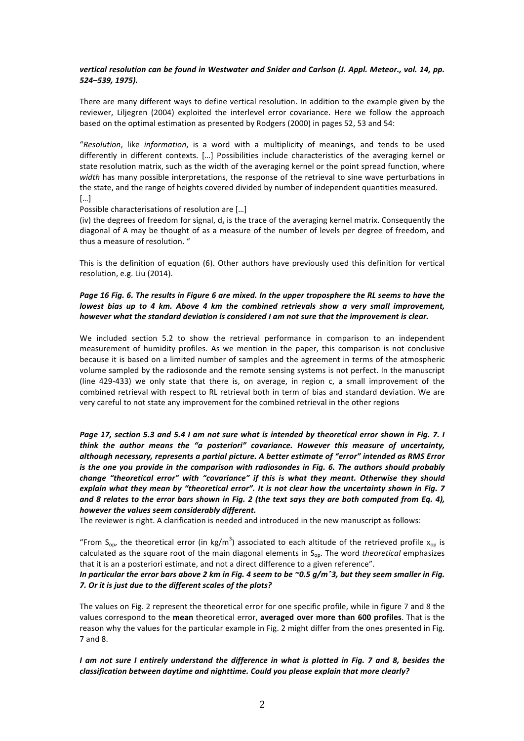## vertical resolution can be found in Westwater and Snider and Carlson (J. Appl. Meteor., vol. 14, pp. *524–539, 1975).*

There are many different ways to define vertical resolution. In addition to the example given by the reviewer, Liljegren (2004) exploited the interlevel error covariance. Here we follow the approach based on the optimal estimation as presented by Rodgers (2000) in pages 52, 53 and 54:

"Resolution, like *information*, is a word with a multiplicity of meanings, and tends to be used differently in different contexts. [...] Possibilities include characteristics of the averaging kernel or state resolution matrix, such as the width of the averaging kernel or the point spread function, where width has many possible interpretations, the response of the retrieval to sine wave perturbations in the state, and the range of heights covered divided by number of independent quantities measured. […]

Possible characterisations of resolution are [...]

(iv) the degrees of freedom for signal,  $d<sub>s</sub>$  is the trace of the averaging kernel matrix. Consequently the diagonal of A may be thought of as a measure of the number of levels per degree of freedom, and thus a measure of resolution. "

This is the definition of equation (6). Other authors have previously used this definition for vertical resolution, e.g. Liu (2014).

# *Page* 16 Fig. 6. The results in Figure 6 are mixed. In the upper troposphere the RL seems to have the *lowest bias up to 4 km. Above 4 km the combined retrievals show a very small improvement, however* what the standard deviation is considered I am not sure that the improvement is clear.

We included section 5.2 to show the retrieval performance in comparison to an independent measurement of humidity profiles. As we mention in the paper, this comparison is not conclusive because it is based on a limited number of samples and the agreement in terms of the atmospheric volume sampled by the radiosonde and the remote sensing systems is not perfect. In the manuscript (line  $429-433$ ) we only state that there is, on average, in region c, a small improvement of the combined retrieval with respect to RL retrieval both in term of bias and standard deviation. We are very careful to not state any improvement for the combined retrieval in the other regions

Page 17, section 5.3 and 5.4 I am not sure what is intended by theoretical error shown in Fig. 7. I *think* the author means the "a posteriori" covariance. However this measure of uncertainty, although necessary, represents a partial picture. A better estimate of "error" intended as RMS Error *is* the one you provide in the comparison with radiosondes in Fig. 6. The authors should probably *change "theoretical error" with "covariance" if this is what they meant. Otherwise they should* explain what they mean by "theoretical error". It is not clear how the uncertainty shown in Fig. 7 and 8 relates to the error bars shown in Fig. 2 (the text says they are both computed from Eq. 4), *however the values seem considerably different.*

The reviewer is right. A clarification is needed and introduced in the new manuscript as follows:

"From S<sub>op</sub>, the theoretical error (in kg/m<sup>3</sup>) associated to each altitude of the retrieved profile  $x_{op}$  is calculated as the square root of the main diagonal elements in  $S_{op}$ . The word *theoretical* emphasizes that it is an a posteriori estimate, and not a direct difference to a given reference".

### *In particular the error bars above 2 km in Fig. 4 seem to be ~0.5 g/m<sup>o</sup>3, but they seem smaller in Fig.* 7. Or it is just due to the different scales of the plots?

The values on Fig. 2 represent the theoretical error for one specific profile, while in figure 7 and 8 the values correspond to the mean theoretical error, averaged over more than 600 profiles. That is the reason why the values for the particular example in Fig. 2 might differ from the ones presented in Fig. 7 and 8. 

*I* am not sure *I* entirely understand the difference in what is plotted in Fig. 7 and 8, besides the *classification between daytime and nighttime. Could you please explain that more clearly?*